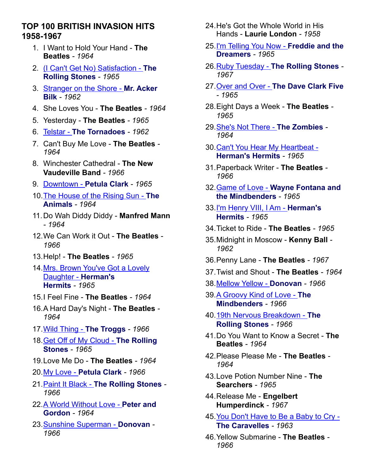## **TOP 100 BRITISH INVASION HITS 1958-1967**

- 1. I Want to Hold Your Hand **The Beatles** *- 1964*
- 2. [\(I Can't Get No\) Satisfaction](http://www.waybackattack.com/rollingstones.html) **The [Rolling Stones](http://www.waybackattack.com/rollingstones.html)** *- 1965*
- 3. [Stranger on the Shore](http://www.waybackattack.com/bilkmracker.html) **Mr. Acker [Bilk](http://www.waybackattack.com/bilkmracker.html)** *- 1962*
- 4. She Loves You **The Beatles** *1964*
- 5. Yesterday **The Beatles** *1965*
- 6. Telstar **[The Tornadoes](http://www.waybackattack.com/tornadoes.html)** *1962*
- 7. Can't Buy Me Love **The Beatles** *1964*
- 8. Winchester Cathedral **The New Vaudeville Band** *- 1966*
- 9. Downtown **[Petula Clark](http://www.waybackattack.com/clarkpetula.html)** *1965*
- 10.[The House of the Rising Sun](http://www.waybackattack.com/animals.html) **The [Animals](http://www.waybackattack.com/animals.html)** *- 1964*
- 11.Do Wah Diddy Diddy **Manfred Mann** *- 1964*
- 12.We Can Work it Out **The Beatles** *1966*
- 13.Help! **The Beatles** *1965*
- 14.[Mrs. Brown You've Got a Lovely](http://www.waybackattack.com/hermanshermits.html)  [Daughter -](http://www.waybackattack.com/hermanshermits.html) **Herman's [Hermits](http://www.waybackattack.com/hermanshermits.html)** *- 1965*
- 15.I Feel Fine **The Beatles** *1964*
- 16.A Hard Day's Night **The Beatles** *1964*
- 17.[Wild Thing](http://www.waybackattack.com/troggs.html) **The Troggs** *1966*
- 18.[Get Off of My Cloud](http://www.waybackattack.com/rollingstones.html) **The Rolling [Stones](http://www.waybackattack.com/rollingstones.html)** *- 1965*
- 19.Love Me Do **The Beatles** *1964*
- 20.My Love **[Petula Clark](http://www.waybackattack.com/clarkpetula.html)** *1966*
- 21.Paint It Black **[The Rolling Stones](http://www.waybackattack.com/rollingstones.html)** *1966*
- 22.[A World Without Love](http://www.waybackattack.com/peterandgordon.html) **Peter and [Gordon](http://www.waybackattack.com/peterandgordon.html)** *- 1964*
- 23.[Sunshine Superman](http://www.waybackattack.com/donovan.html) **Donovan** *1966*
- 24.He's Got the Whole World in His Hands - **Laurie London** *- 1958*
- 25.[I'm Telling You Now](http://www.waybackattack.com/freddieandthedreamers.html) **Freddie and the [Dreamers](http://www.waybackattack.com/freddieandthedreamers.html)** *- 1965*
- 26.Ruby Tuesday **[The Rolling Stones](http://www.waybackattack.com/rollingstones.html)** *1967*
- 27.Over and Over **[The Dave Clark Five](http://www.waybackattack.com/clarkdavefive.html)** *- 1965*
- 28.Eight Days a Week **The Beatles** *1965*
- 29.[She's Not There](http://www.waybackattack.com/zombies.html) **The Zombies** *1964*
- 30.[Can't You Hear My Heartbeat](http://www.waybackattack.com/hermanshermits.html)  **[Herman's Hermits](http://www.waybackattack.com/hermanshermits.html)** *- 1965*
- 31.Paperback Writer **The Beatles** *1966*
- 32.Game of Love **[Wayne Fontana and](http://www.waybackattack.com/fontanawayne.html)  [the Mindbenders](http://www.waybackattack.com/fontanawayne.html)** *- 1965*
- 33.[I'm Henry VIII, I Am](http://www.waybackattack.com/hermanshermits.html) **Herman's [Hermits](http://www.waybackattack.com/hermanshermits.html)** *- 1965*
- 34.Ticket to Ride **The Beatles** *1965*
- 35.Midnight in Moscow **Kenny Ball** *1962*
- 36.Penny Lane **The Beatles** *1967*
- 37.Twist and Shout **The Beatles** *1964*
- 38.[Mellow Yellow](http://www.waybackattack.com/donovan.html) **Donovan** *1966*
- 39.[A Groovy Kind of Love](http://www.waybackattack.com/fontanawayne.html) **The [Mindbenders](http://www.waybackattack.com/fontanawayne.html)** *- 1966*
- 40.[19th Nervous Breakdown](http://www.waybackattack.com/rollingstones.html) **The [Rolling Stones](http://www.waybackattack.com/rollingstones.html)** *- 1966*
- 41.Do You Want to Know a Secret **The Beatles** *- 1964*
- 42.Please Please Me **The Beatles** *1964*
- 43.Love Potion Number Nine **The Searchers** *- 1965*
- 44.Release Me **Engelbert Humperdinck** *- 1967*
- 45.[You Don't Have to Be a Baby to Cry](http://www.waybackattack.com/caravelles.html)  **[The Caravelles](http://www.waybackattack.com/caravelles.html)** *- 1963*
- 46.Yellow Submarine **The Beatles** *1966*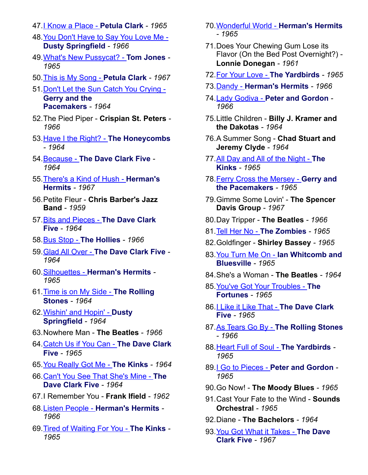- 47.[I Know a Place](http://www.waybackattack.com/clarkpetula.html) **Petula Clark** *1965*
- 48.[You Don't Have to Say You Love Me](http://www.waybackattack.com/springfielddusty.html)  **[Dusty Springfield](http://www.waybackattack.com/springfielddusty.html)** *- 1966*
- 49.[What's New Pussycat?](http://www.waybackattack.com/jonestom.html) **Tom Jones** *1965*
- 50.[This is My Song](http://www.waybackattack.com/clarkpetula.html) **Petula Clark** *1967*
- 51.[Don't Let the Sun Catch You Crying](http://www.waybackattack.com/gerryandthepacemakers.html)  **[Gerry and the](http://www.waybackattack.com/gerryandthepacemakers.html)  [Pacemakers](http://www.waybackattack.com/gerryandthepacemakers.html)** *- 1964*
- 52.The Pied Piper **Crispian St. Peters** *1966*
- 53.[Have I the Right?](http://www.waybackattack.com/honeycombs.html) **The Honeycombs** *- 1964*
- 54.Because **[The Dave Clark Five](http://www.waybackattack.com/clarkdavefive.html)** *1964*
- 55.[There's a Kind of Hush](http://www.waybackattack.com/hermanshermits.html) **Herman's [Hermits](http://www.waybackattack.com/hermanshermits.html)** *- 1967*
- 56.Petite Fleur **Chris Barber's Jazz Band** *- 1959*
- 57.[Bits and Pieces](http://www.waybackattack.com/clarkdavefive.html) **The Dave Clark [Five](http://www.waybackattack.com/clarkdavefive.html)** *- 1964*
- 58.Bus Stop **[The Hollies](http://www.waybackattack.com/hollies.html)** *1966*
- 59.Glad All Over **[The Dave Clark Five](http://www.waybackattack.com/clarkdavefive.html)** *1964*
- 60.Silhouettes **[Herman's Hermits](http://www.waybackattack.com/hermanshermits.html)** *1965*
- 61.[Time is on My Side](http://www.waybackattack.com/rollingstones.html) **The Rolling [Stones](http://www.waybackattack.com/rollingstones.html)** *- 1964*
- 62.[Wishin' and Hopin'](http://www.waybackattack.com/springfielddusty.html) **Dusty [Springfield](http://www.waybackattack.com/springfielddusty.html)** *- 1964*
- 63.Nowhere Man **The Beatles** *1966*
- 64.[Catch Us if You Can](http://www.waybackattack.com/clarkdavefive.html) **The Dave Clark [Five](http://www.waybackattack.com/clarkdavefive.html)** *- 1965*
- 65.[You Really Got Me](http://www.waybackattack.com/kinks.html) **The Kinks** *1964*
- 66.[Can't You See That She's Mine](http://www.waybackattack.com/clarkdavefive.html) **The [Dave Clark Five](http://www.waybackattack.com/clarkdavefive.html)** *- 1964*
- 67.I Remember You **Frank Ifield** *1962*
- 68.Listen People **[Herman's Hermits](http://www.waybackattack.com/hermanshermits.html)** *1966*
- 69.[Tired of Waiting For You](http://www.waybackattack.com/kinks.html) **The Kinks** *1965*
- 70.Wonderful World **[Herman's Hermits](http://www.waybackattack.com/hermanshermits.html)** *- 1965*
- 71.Does Your Chewing Gum Lose its Flavor (On the Bed Post Overnight?) - **Lonnie Donegan** *- 1961*
- 72.[For Your Love](http://www.waybackattack.com/yardbirds.html) **The Yardbirds** *1965*
- 73.Dandy **[Herman's Hermits](http://www.waybackattack.com/hermanshermits.html)** *1966*
- 74.Lady Godiva **[Peter and Gordon](http://www.waybackattack.com/peterandgordon.html)** *1966*
- 75.Little Children **Billy J. Kramer and the Dakotas** *- 1964*
- 76.A Summer Song **Chad Stuart and Jeremy Clyde** *- 1964*
- 77.[All Day and All of the Night](http://www.waybackattack.com/kinks.html) **The [Kinks](http://www.waybackattack.com/kinks.html)** *- 1965*
- 78.[Ferry Cross the Mersey](http://www.waybackattack.com/gerryandthepacemakers.html) **Gerry and [the Pacemakers](http://www.waybackattack.com/gerryandthepacemakers.html)** *- 1965*
- 79.Gimme Some Lovin' **The Spencer Davis Group** *- 1967*
- 80.Day Tripper **The Beatles** *1966*
- 81.Tell Her No **[The Zombies](http://www.waybackattack.com/zombies.html)** *1965*
- 82.Goldfinger **Shirley Bassey** *1965*
- 83.You Turn Me On **[Ian Whitcomb and](http://www.waybackattack.com/whitcombian.html)  [Bluesville](http://www.waybackattack.com/whitcombian.html)** *- 1965*
- 84.She's a Woman **The Beatles** *1964*
- 85.[You've Got Your Troubles](http://www.waybackattack.com/fortunes.html) **The [Fortunes](http://www.waybackattack.com/fortunes.html)** *- 1965*
- 86.[I Like it Like That](http://www.waybackattack.com/clarkdavefive.html) **The Dave Clark [Five](http://www.waybackattack.com/clarkdavefive.html)** *- 1965*
- 87.As Tears Go By **[The Rolling Stones](http://www.waybackattack.com/rollingstones.html)** *- 1966*
- 88.[Heart Full of Soul](http://www.waybackattack.com/yardbirds.html) **The Yardbirds** *1965*
- 89.I Go to Pieces **[Peter and Gordon](http://www.waybackattack.com/peterandgordon.html)** *1965*
- 90.Go Now! **The Moody Blues** *1965*
- 91.Cast Your Fate to the Wind **Sounds Orchestral** *- 1965*
- 92.Diane **The Bachelors** *1964*
- 93.[You Got What it Takes](http://www.waybackattack.com/clarkdavefive.html) **The Dave [Clark Five](http://www.waybackattack.com/clarkdavefive.html)** *- 1967*